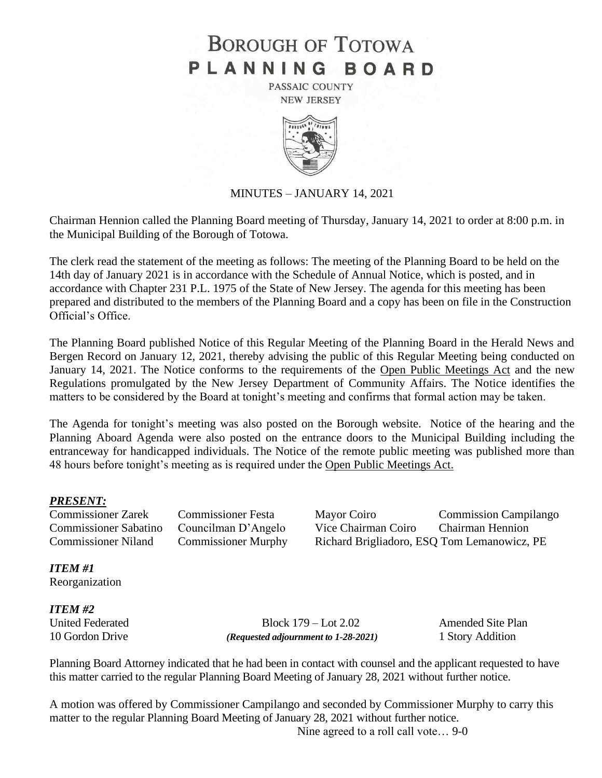# **BOROUGH OF TOTOWA** PLANNING BOARD

PASSAIC COUNTY **NEW JERSEY** 



#### MINUTES – JANUARY 14, 2021

Chairman Hennion called the Planning Board meeting of Thursday, January 14, 2021 to order at 8:00 p.m. in the Municipal Building of the Borough of Totowa.

The clerk read the statement of the meeting as follows: The meeting of the Planning Board to be held on the 14th day of January 2021 is in accordance with the Schedule of Annual Notice, which is posted, and in accordance with Chapter 231 P.L. 1975 of the State of New Jersey. The agenda for this meeting has been prepared and distributed to the members of the Planning Board and a copy has been on file in the Construction Official's Office.

The Planning Board published Notice of this Regular Meeting of the Planning Board in the Herald News and Bergen Record on January 12, 2021, thereby advising the public of this Regular Meeting being conducted on January 14, 2021. The Notice conforms to the requirements of the Open Public Meetings Act and the new Regulations promulgated by the New Jersey Department of Community Affairs. The Notice identifies the matters to be considered by the Board at tonight's meeting and confirms that formal action may be taken.

The Agenda for tonight's meeting was also posted on the Borough website. Notice of the hearing and the Planning Aboard Agenda were also posted on the entrance doors to the Municipal Building including the entranceway for handicapped individuals. The Notice of the remote public meeting was published more than 48 hours before tonight's meeting as is required under the Open Public Meetings Act.

### *PRESENT:*

Commissioner Zarek Commissioner Festa Mayor Coiro Commission Campilango Commissioner Sabatino Councilman D'Angelo Vice Chairman Coiro Chairman Hennion Commissioner Niland Commissioner Murphy Richard Brigliadoro, ESQ Tom Lemanowicz, PE

*ITEM #1*

Reorganization

*ITEM #2*

United Federated Block 179 – Lot 2.02 Amended Site Plan 10 Gordon Drive *(Requested adjournment to 1-28-2021)* 1 Story Addition

Planning Board Attorney indicated that he had been in contact with counsel and the applicant requested to have this matter carried to the regular Planning Board Meeting of January 28, 2021 without further notice.

A motion was offered by Commissioner Campilango and seconded by Commissioner Murphy to carry this matter to the regular Planning Board Meeting of January 28, 2021 without further notice.

Nine agreed to a roll call vote… 9-0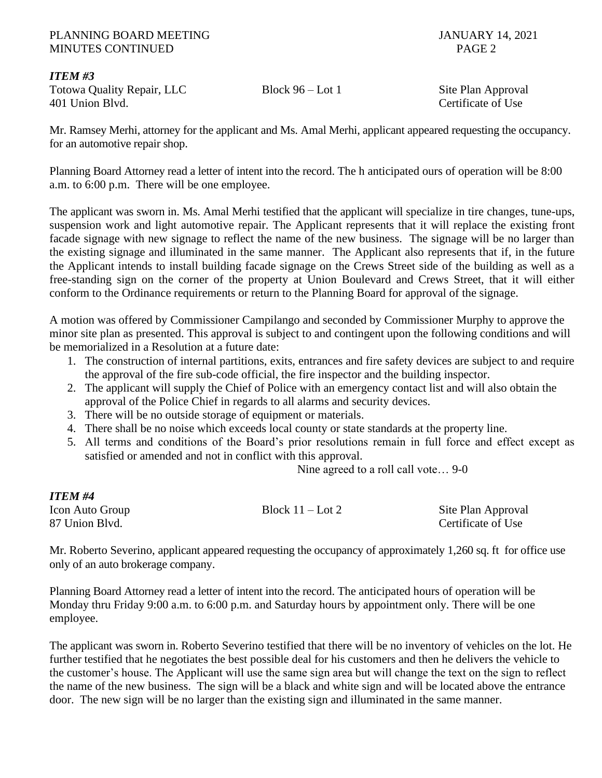## PLANNING BOARD MEETING JANUARY 14, 2021 MINUTES CONTINUED PAGE 2

# *ITEM #3*

Totowa Quality Repair, LLC Block 96 – Lot 1 Site Plan Approval 401 Union Blvd. Certificate of Use

Mr. Ramsey Merhi, attorney for the applicant and Ms. Amal Merhi, applicant appeared requesting the occupancy. for an automotive repair shop.

Planning Board Attorney read a letter of intent into the record. The h anticipated ours of operation will be 8:00 a.m. to 6:00 p.m. There will be one employee.

The applicant was sworn in. Ms. Amal Merhi testified that the applicant will specialize in tire changes, tune-ups, suspension work and light automotive repair. The Applicant represents that it will replace the existing front facade signage with new signage to reflect the name of the new business. The signage will be no larger than the existing signage and illuminated in the same manner. The Applicant also represents that if, in the future the Applicant intends to install building facade signage on the Crews Street side of the building as well as a free-standing sign on the corner of the property at Union Boulevard and Crews Street, that it will either conform to the Ordinance requirements or return to the Planning Board for approval of the signage.

A motion was offered by Commissioner Campilango and seconded by Commissioner Murphy to approve the minor site plan as presented. This approval is subject to and contingent upon the following conditions and will be memorialized in a Resolution at a future date:

- 1. The construction of internal partitions, exits, entrances and fire safety devices are subject to and require the approval of the fire sub-code official, the fire inspector and the building inspector.
- 2. The applicant will supply the Chief of Police with an emergency contact list and will also obtain the approval of the Police Chief in regards to all alarms and security devices.
- 3. There will be no outside storage of equipment or materials.
- 4. There shall be no noise which exceeds local county or state standards at the property line.
- 5. All terms and conditions of the Board's prior resolutions remain in full force and effect except as satisfied or amended and not in conflict with this approval.

Nine agreed to a roll call vote… 9-0

| ITEM #4                           |                    |                                          |
|-----------------------------------|--------------------|------------------------------------------|
| Icon Auto Group<br>87 Union Blvd. | Block $11 -$ Lot 2 | Site Plan Approval<br>Certificate of Use |
|                                   |                    |                                          |

Mr. Roberto Severino, applicant appeared requesting the occupancy of approximately 1,260 sq. ft for office use only of an auto brokerage company.

Planning Board Attorney read a letter of intent into the record. The anticipated hours of operation will be Monday thru Friday 9:00 a.m. to 6:00 p.m. and Saturday hours by appointment only. There will be one employee.

The applicant was sworn in. Roberto Severino testified that there will be no inventory of vehicles on the lot. He further testified that he negotiates the best possible deal for his customers and then he delivers the vehicle to the customer's house. The Applicant will use the same sign area but will change the text on the sign to reflect the name of the new business. The sign will be a black and white sign and will be located above the entrance door. The new sign will be no larger than the existing sign and illuminated in the same manner.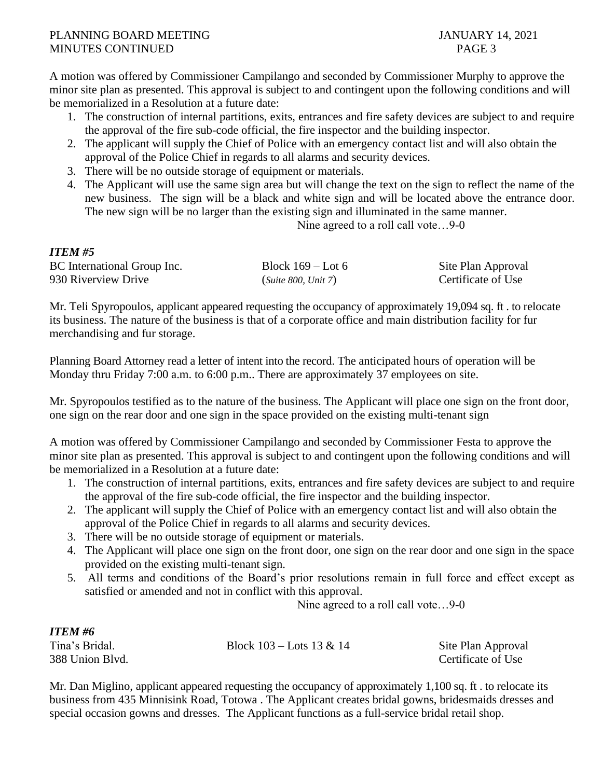A motion was offered by Commissioner Campilango and seconded by Commissioner Murphy to approve the minor site plan as presented. This approval is subject to and contingent upon the following conditions and will be memorialized in a Resolution at a future date:

- 1. The construction of internal partitions, exits, entrances and fire safety devices are subject to and require the approval of the fire sub-code official, the fire inspector and the building inspector.
- 2. The applicant will supply the Chief of Police with an emergency contact list and will also obtain the approval of the Police Chief in regards to all alarms and security devices.
- 3. There will be no outside storage of equipment or materials.
- 4. The Applicant will use the same sign area but will change the text on the sign to reflect the name of the new business. The sign will be a black and white sign and will be located above the entrance door. The new sign will be no larger than the existing sign and illuminated in the same manner.

Nine agreed to a roll call vote…9-0

# *ITEM #5*

| BC International Group Inc. | Block $169 -$ Lot 6 | Site Plan Approval |
|-----------------------------|---------------------|--------------------|
| 930 Riverview Drive         | (Suite 800, Unit 7) | Certificate of Use |

Mr. Teli Spyropoulos, applicant appeared requesting the occupancy of approximately 19,094 sq. ft . to relocate its business. The nature of the business is that of a corporate office and main distribution facility for fur merchandising and fur storage.

Planning Board Attorney read a letter of intent into the record. The anticipated hours of operation will be Monday thru Friday 7:00 a.m. to 6:00 p.m.. There are approximately 37 employees on site.

Mr. Spyropoulos testified as to the nature of the business. The Applicant will place one sign on the front door, one sign on the rear door and one sign in the space provided on the existing multi-tenant sign

A motion was offered by Commissioner Campilango and seconded by Commissioner Festa to approve the minor site plan as presented. This approval is subject to and contingent upon the following conditions and will be memorialized in a Resolution at a future date:

- 1. The construction of internal partitions, exits, entrances and fire safety devices are subject to and require the approval of the fire sub-code official, the fire inspector and the building inspector.
- 2. The applicant will supply the Chief of Police with an emergency contact list and will also obtain the approval of the Police Chief in regards to all alarms and security devices.
- 3. There will be no outside storage of equipment or materials.
- 4. The Applicant will place one sign on the front door, one sign on the rear door and one sign in the space provided on the existing multi-tenant sign.
- 5. All terms and conditions of the Board's prior resolutions remain in full force and effect except as satisfied or amended and not in conflict with this approval.

Nine agreed to a roll call vote…9-0

| <b>ITEM#6</b>   |                              |                    |
|-----------------|------------------------------|--------------------|
| Tina's Bridal.  | Block $103 -$ Lots $13 & 14$ | Site Plan Approval |
| 388 Union Blvd. |                              | Certificate of Use |

Mr. Dan Miglino, applicant appeared requesting the occupancy of approximately 1,100 sq. ft . to relocate its business from 435 Minnisink Road, Totowa . The Applicant creates bridal gowns, bridesmaids dresses and special occasion gowns and dresses. The Applicant functions as a full-service bridal retail shop.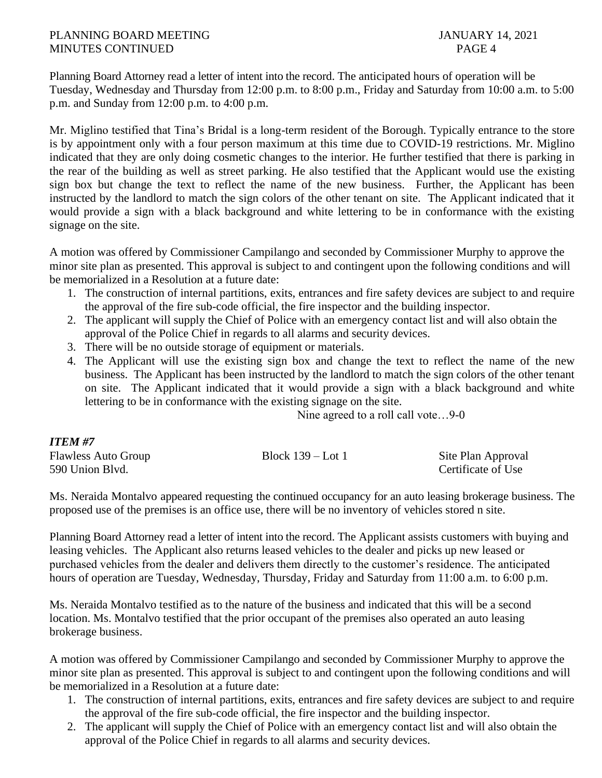# PLANNING BOARD MEETING JANUARY 14, 2021 MINUTES CONTINUED PAGE 4

Planning Board Attorney read a letter of intent into the record. The anticipated hours of operation will be Tuesday, Wednesday and Thursday from 12:00 p.m. to 8:00 p.m., Friday and Saturday from 10:00 a.m. to 5:00 p.m. and Sunday from 12:00 p.m. to 4:00 p.m.

Mr. Miglino testified that Tina's Bridal is a long-term resident of the Borough. Typically entrance to the store is by appointment only with a four person maximum at this time due to COVID-19 restrictions. Mr. Miglino indicated that they are only doing cosmetic changes to the interior. He further testified that there is parking in the rear of the building as well as street parking. He also testified that the Applicant would use the existing sign box but change the text to reflect the name of the new business. Further, the Applicant has been instructed by the landlord to match the sign colors of the other tenant on site. The Applicant indicated that it would provide a sign with a black background and white lettering to be in conformance with the existing signage on the site.

A motion was offered by Commissioner Campilango and seconded by Commissioner Murphy to approve the minor site plan as presented. This approval is subject to and contingent upon the following conditions and will be memorialized in a Resolution at a future date:

- 1. The construction of internal partitions, exits, entrances and fire safety devices are subject to and require the approval of the fire sub-code official, the fire inspector and the building inspector.
- 2. The applicant will supply the Chief of Police with an emergency contact list and will also obtain the approval of the Police Chief in regards to all alarms and security devices.
- 3. There will be no outside storage of equipment or materials.
- 4. The Applicant will use the existing sign box and change the text to reflect the name of the new business. The Applicant has been instructed by the landlord to match the sign colors of the other tenant on site. The Applicant indicated that it would provide a sign with a black background and white lettering to be in conformance with the existing signage on the site.

Nine agreed to a roll call vote…9-0

### *ITEM #7*

| <b>Flawless Auto Group</b> | Block $139 -$ Lot 1 | Site Plan Approval |
|----------------------------|---------------------|--------------------|
| 590 Union Blvd.            |                     | Certificate of Use |

Ms. Neraida Montalvo appeared requesting the continued occupancy for an auto leasing brokerage business. The proposed use of the premises is an office use, there will be no inventory of vehicles stored n site.

Planning Board Attorney read a letter of intent into the record. The Applicant assists customers with buying and leasing vehicles. The Applicant also returns leased vehicles to the dealer and picks up new leased or purchased vehicles from the dealer and delivers them directly to the customer's residence. The anticipated hours of operation are Tuesday, Wednesday, Thursday, Friday and Saturday from 11:00 a.m. to 6:00 p.m.

Ms. Neraida Montalvo testified as to the nature of the business and indicated that this will be a second location. Ms. Montalvo testified that the prior occupant of the premises also operated an auto leasing brokerage business.

A motion was offered by Commissioner Campilango and seconded by Commissioner Murphy to approve the minor site plan as presented. This approval is subject to and contingent upon the following conditions and will be memorialized in a Resolution at a future date:

- 1. The construction of internal partitions, exits, entrances and fire safety devices are subject to and require the approval of the fire sub-code official, the fire inspector and the building inspector.
- 2. The applicant will supply the Chief of Police with an emergency contact list and will also obtain the approval of the Police Chief in regards to all alarms and security devices.